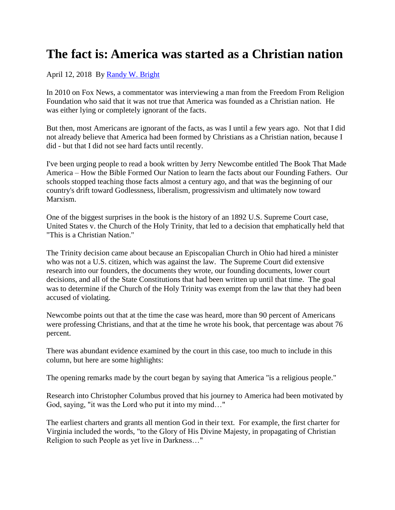## **The fact is: America was started as a Christian nation**

## April 12, 2018 By [Randy W. Bright](http://www.tulsabeacon.com/author/slug-o6yd1v)

In 2010 on Fox News, a commentator was interviewing a man from the Freedom From Religion Foundation who said that it was not true that America was founded as a Christian nation. He was either lying or completely ignorant of the facts.

But then, most Americans are ignorant of the facts, as was I until a few years ago. Not that I did not already believe that America had been formed by Christians as a Christian nation, because I did - but that I did not see hard facts until recently.

I've been urging people to read a book written by Jerry Newcombe entitled The Book That Made America – How the Bible Formed Our Nation to learn the facts about our Founding Fathers. Our schools stopped teaching those facts almost a century ago, and that was the beginning of our country's drift toward Godlessness, liberalism, progressivism and ultimately now toward Marxism.

One of the biggest surprises in the book is the history of an 1892 U.S. Supreme Court case, United States v. the Church of the Holy Trinity, that led to a decision that emphatically held that "This is a Christian Nation."

The Trinity decision came about because an Episcopalian Church in Ohio had hired a minister who was not a U.S. citizen, which was against the law. The Supreme Court did extensive research into our founders, the documents they wrote, our founding documents, lower court decisions, and all of the State Constitutions that had been written up until that time. The goal was to determine if the Church of the Holy Trinity was exempt from the law that they had been accused of violating.

Newcombe points out that at the time the case was heard, more than 90 percent of Americans were professing Christians, and that at the time he wrote his book, that percentage was about 76 percent.

There was abundant evidence examined by the court in this case, too much to include in this column, but here are some highlights:

The opening remarks made by the court began by saying that America "is a religious people."

Research into Christopher Columbus proved that his journey to America had been motivated by God, saying, "it was the Lord who put it into my mind…"

The earliest charters and grants all mention God in their text. For example, the first charter for Virginia included the words, "to the Glory of His Divine Majesty, in propagating of Christian Religion to such People as yet live in Darkness…"